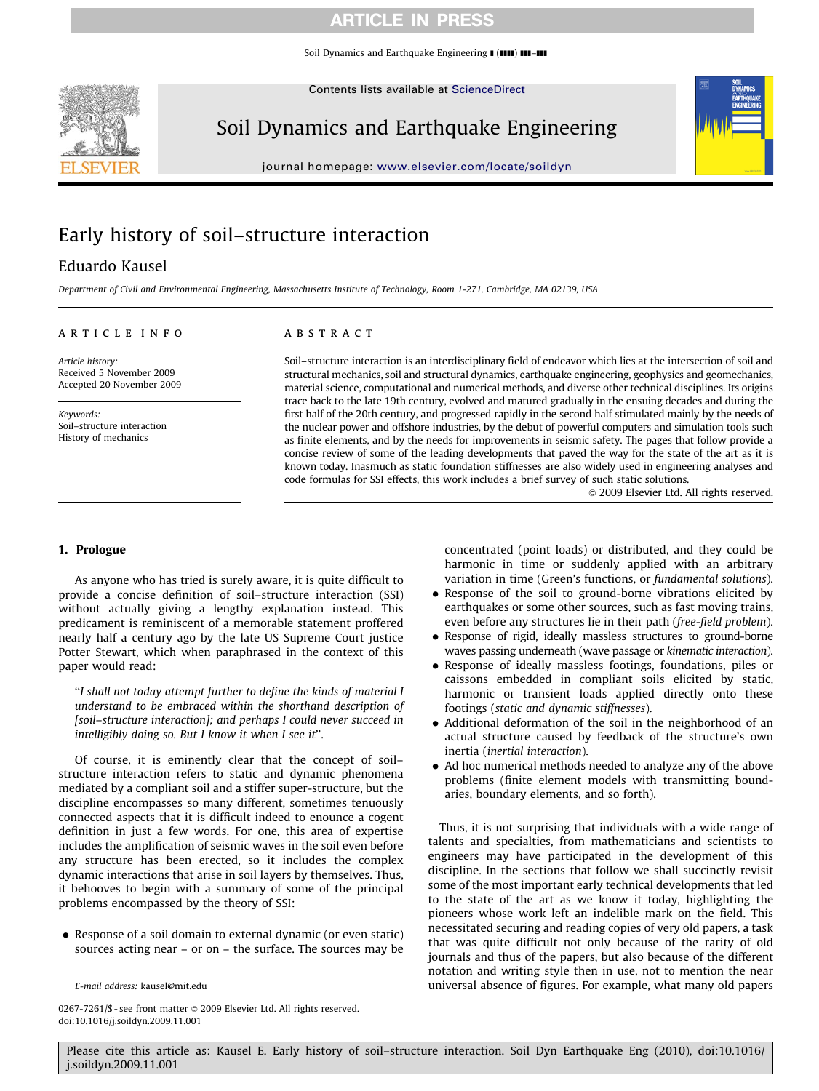## ARTICLE IN PRESS

Soil Dynamics and Earthquake Engineering  $\blacksquare$  ( $\blacksquare\blacksquare$ )  $\blacksquare\blacksquare$ 

Contents lists available at ScienceDirect



Soil Dynamics and Earthquake Engineering



journal homepage: <www.elsevier.com/locate/soildyn>

# Early history of soil–structure interaction

### Eduardo Kausel

Department of Civil and Environmental Engineering, Massachusetts Institute of Technology, Room 1-271, Cambridge, MA 02139, USA

#### ARTICLE INFO

Article history: Received 5 November 2009 Accepted 20 November 2009

Keywords: Soil–structure interaction History of mechanics

#### **ABSTRACT**

Soil–structure interaction is an interdisciplinary field of endeavor which lies at the intersection of soil and structural mechanics, soil and structural dynamics, earthquake engineering, geophysics and geomechanics, material science, computational and numerical methods, and diverse other technical disciplines. Its origins trace back to the late 19th century, evolved and matured gradually in the ensuing decades and during the first half of the 20th century, and progressed rapidly in the second half stimulated mainly by the needs of the nuclear power and offshore industries, by the debut of powerful computers and simulation tools such as finite elements, and by the needs for improvements in seismic safety. The pages that follow provide a concise review of some of the leading developments that paved the way for the state of the art as it is known today. Inasmuch as static foundation stiffnesses are also widely used in engineering analyses and code formulas for SSI effects, this work includes a brief survey of such static solutions.

& 2009 Elsevier Ltd. All rights reserved.

#### 1. Prologue

As anyone who has tried is surely aware, it is quite difficult to provide a concise definition of soil–structure interaction (SSI) without actually giving a lengthy explanation instead. This predicament is reminiscent of a memorable statement proffered nearly half a century ago by the late US Supreme Court justice Potter Stewart, which when paraphrased in the context of this paper would read:

''I shall not today attempt further to define the kinds of material I understand to be embraced within the shorthand description of [soil–structure interaction]; and perhaps I could never succeed in intelligibly doing so. But I know it when I see it''.

Of course, it is eminently clear that the concept of soil– structure interaction refers to static and dynamic phenomena mediated by a compliant soil and a stiffer super-structure, but the discipline encompasses so many different, sometimes tenuously connected aspects that it is difficult indeed to enounce a cogent definition in just a few words. For one, this area of expertise includes the amplification of seismic waves in the soil even before any structure has been erected, so it includes the complex dynamic interactions that arise in soil layers by themselves. Thus, it behooves to begin with a summary of some of the principal problems encompassed by the theory of SSI:

- Response of a soil domain to external dynamic (or even static) sources acting near – or on – the surface. The sources may be

0267-7261/\$ - see front matter @ 2009 Elsevier Ltd. All rights reserved. doi:[10.1016/j.soildyn.2009.11.001](dx.doi.org/10.1016/j.soildyn.2009.11.001)

concentrated (point loads) or distributed, and they could be harmonic in time or suddenly applied with an arbitrary variation in time (Green's functions, or fundamental solutions).

- Response of the soil to ground-borne vibrations elicited by earthquakes or some other sources, such as fast moving trains, even before any structures lie in their path (free-field problem).
- Response of rigid, ideally massless structures to ground-borne waves passing underneath (wave passage or kinematic interaction).
- Response of ideally massless footings, foundations, piles or caissons embedded in compliant soils elicited by static, harmonic or transient loads applied directly onto these footings (static and dynamic stiffnesses).
- Additional deformation of the soil in the neighborhood of an actual structure caused by feedback of the structure's own inertia (inertial interaction).
- Ad hoc numerical methods needed to analyze any of the above problems (finite element models with transmitting boundaries, boundary elements, and so forth).

Thus, it is not surprising that individuals with a wide range of talents and specialties, from mathematicians and scientists to engineers may have participated in the development of this discipline. In the sections that follow we shall succinctly revisit some of the most important early technical developments that led to the state of the art as we know it today, highlighting the pioneers whose work left an indelible mark on the field. This necessitated securing and reading copies of very old papers, a task that was quite difficult not only because of the rarity of old journals and thus of the papers, but also because of the different notation and writing style then in use, not to mention the near universal absence of figures. For example, what many old papers

E-mail address: kausel@mit.edu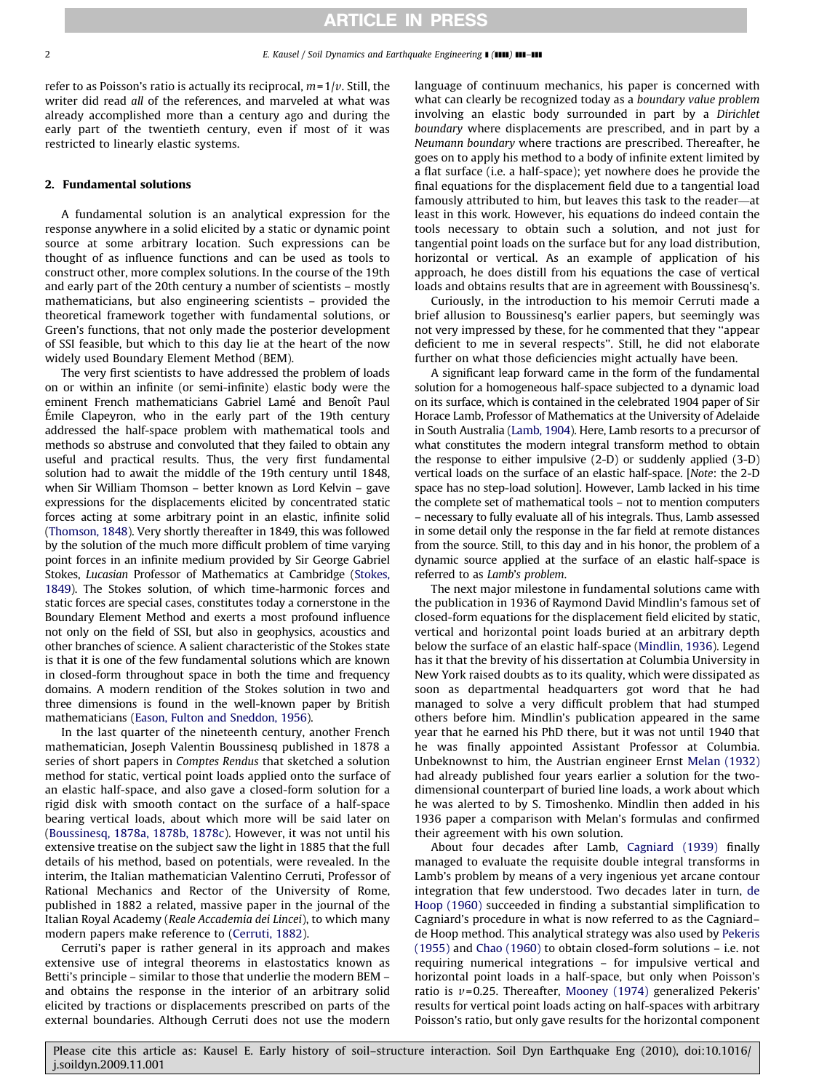refer to as Poisson's ratio is actually its reciprocal,  $m=1/\nu$ . Still, the writer did read all of the references, and marveled at what was already accomplished more than a century ago and during the early part of the twentieth century, even if most of it was restricted to linearly elastic systems.

#### 2. Fundamental solutions

A fundamental solution is an analytical expression for the response anywhere in a solid elicited by a static or dynamic point source at some arbitrary location. Such expressions can be thought of as influence functions and can be used as tools to construct other, more complex solutions. In the course of the 19th and early part of the 20th century a number of scientists – mostly mathematicians, but also engineering scientists – provided the theoretical framework together with fundamental solutions, or Green's functions, that not only made the posterior development of SSI feasible, but which to this day lie at the heart of the now widely used Boundary Element Method (BEM).

The very first scientists to have addressed the problem of loads on or within an infinite (or semi-infinite) elastic body were the eminent French mathematicians Gabriel Lamé and Benoît Paul Émile Clapeyron, who in the early part of the 19th century addressed the half-space problem with mathematical tools and methods so abstruse and convoluted that they failed to obtain any useful and practical results. Thus, the very first fundamental solution had to await the middle of the 19th century until 1848, when Sir William Thomson – better known as Lord Kelvin – gave expressions for the displacements elicited by concentrated static forces acting at some arbitrary point in an elastic, infinite solid ([Thomson, 1848\)](#page-9-0). Very shortly thereafter in 1849, this was followed by the solution of the much more difficult problem of time varying point forces in an infinite medium provided by Sir George Gabriel Stokes, Lucasian Professor of Mathematics at Cambridge [\(Stokes,](#page-9-0) [1849\)](#page-9-0). The Stokes solution, of which time-harmonic forces and static forces are special cases, constitutes today a cornerstone in the Boundary Element Method and exerts a most profound influence not only on the field of SSI, but also in geophysics, acoustics and other branches of science. A salient characteristic of the Stokes state is that it is one of the few fundamental solutions which are known in closed-form throughout space in both the time and frequency domains. A modern rendition of the Stokes solution in two and three dimensions is found in the well-known paper by British mathematicians [\(Eason, Fulton and Sneddon, 1956](#page-8-0)).

In the last quarter of the nineteenth century, another French mathematician, Joseph Valentin Boussinesq published in 1878 a series of short papers in Comptes Rendus that sketched a solution method for static, vertical point loads applied onto the surface of an elastic half-space, and also gave a closed-form solution for a rigid disk with smooth contact on the surface of a half-space bearing vertical loads, about which more will be said later on ([Boussinesq, 1878a, 1878b, 1878c](#page-8-0)). However, it was not until his extensive treatise on the subject saw the light in 1885 that the full details of his method, based on potentials, were revealed. In the interim, the Italian mathematician Valentino Cerruti, Professor of Rational Mechanics and Rector of the University of Rome, published in 1882 a related, massive paper in the journal of the Italian Royal Academy (Reale Accademia dei Lincei), to which many modern papers make reference to [\(Cerruti, 1882](#page-8-0)).

Cerruti's paper is rather general in its approach and makes extensive use of integral theorems in elastostatics known as Betti's principle – similar to those that underlie the modern BEM – and obtains the response in the interior of an arbitrary solid elicited by tractions or displacements prescribed on parts of the external boundaries. Although Cerruti does not use the modern

language of continuum mechanics, his paper is concerned with what can clearly be recognized today as a boundary value problem involving an elastic body surrounded in part by a Dirichlet boundary where displacements are prescribed, and in part by a Neumann boundary where tractions are prescribed. Thereafter, he goes on to apply his method to a body of infinite extent limited by a flat surface (i.e. a half-space); yet nowhere does he provide the final equations for the displacement field due to a tangential load famously attributed to him, but leaves this task to the reader—at least in this work. However, his equations do indeed contain the tools necessary to obtain such a solution, and not just for tangential point loads on the surface but for any load distribution, horizontal or vertical. As an example of application of his approach, he does distill from his equations the case of vertical loads and obtains results that are in agreement with Boussinesq's.

Curiously, in the introduction to his memoir Cerruti made a brief allusion to Boussinesq's earlier papers, but seemingly was not very impressed by these, for he commented that they ''appear deficient to me in several respects''. Still, he did not elaborate further on what those deficiencies might actually have been.

A significant leap forward came in the form of the fundamental solution for a homogeneous half-space subjected to a dynamic load on its surface, which is contained in the celebrated 1904 paper of Sir Horace Lamb, Professor of Mathematics at the University of Adelaide in South Australia [\(Lamb, 1904\)](#page-9-0). Here, Lamb resorts to a precursor of what constitutes the modern integral transform method to obtain the response to either impulsive (2-D) or suddenly applied (3-D) vertical loads on the surface of an elastic half-space. [Note: the 2-D space has no step-load solution]. However, Lamb lacked in his time the complete set of mathematical tools – not to mention computers – necessary to fully evaluate all of his integrals. Thus, Lamb assessed in some detail only the response in the far field at remote distances from the source. Still, to this day and in his honor, the problem of a dynamic source applied at the surface of an elastic half-space is referred to as Lamb's problem.

The next major milestone in fundamental solutions came with the publication in 1936 of Raymond David Mindlin's famous set of closed-form equations for the displacement field elicited by static, vertical and horizontal point loads buried at an arbitrary depth below the surface of an elastic half-space ([Mindlin, 1936](#page-9-0)). Legend has it that the brevity of his dissertation at Columbia University in New York raised doubts as to its quality, which were dissipated as soon as departmental headquarters got word that he had managed to solve a very difficult problem that had stumped others before him. Mindlin's publication appeared in the same year that he earned his PhD there, but it was not until 1940 that he was finally appointed Assistant Professor at Columbia. Unbeknownst to him, the Austrian engineer Ernst [Melan \(1932\)](#page-9-0) had already published four years earlier a solution for the twodimensional counterpart of buried line loads, a work about which he was alerted to by S. Timoshenko. Mindlin then added in his 1936 paper a comparison with Melan's formulas and confirmed their agreement with his own solution.

About four decades after Lamb, [Cagniard \(1939\)](#page-8-0) finally managed to evaluate the requisite double integral transforms in Lamb's problem by means of a very ingenious yet arcane contour integration that few understood. Two decades later in turn, [de](#page-8-0) [Hoop \(1960\)](#page-8-0) succeeded in finding a substantial simplification to Cagniard's procedure in what is now referred to as the Cagniard– de Hoop method. This analytical strategy was also used by [Pekeris](#page-9-0) [\(1955\)](#page-9-0) and [Chao \(1960\)](#page-8-0) to obtain closed-form solutions – i.e. not requiring numerical integrations – for impulsive vertical and horizontal point loads in a half-space, but only when Poisson's ratio is  $v=0.25$ . Thereafter, [Mooney \(1974\)](#page-9-0) generalized Pekeris' results for vertical point loads acting on half-spaces with arbitrary Poisson's ratio, but only gave results for the horizontal component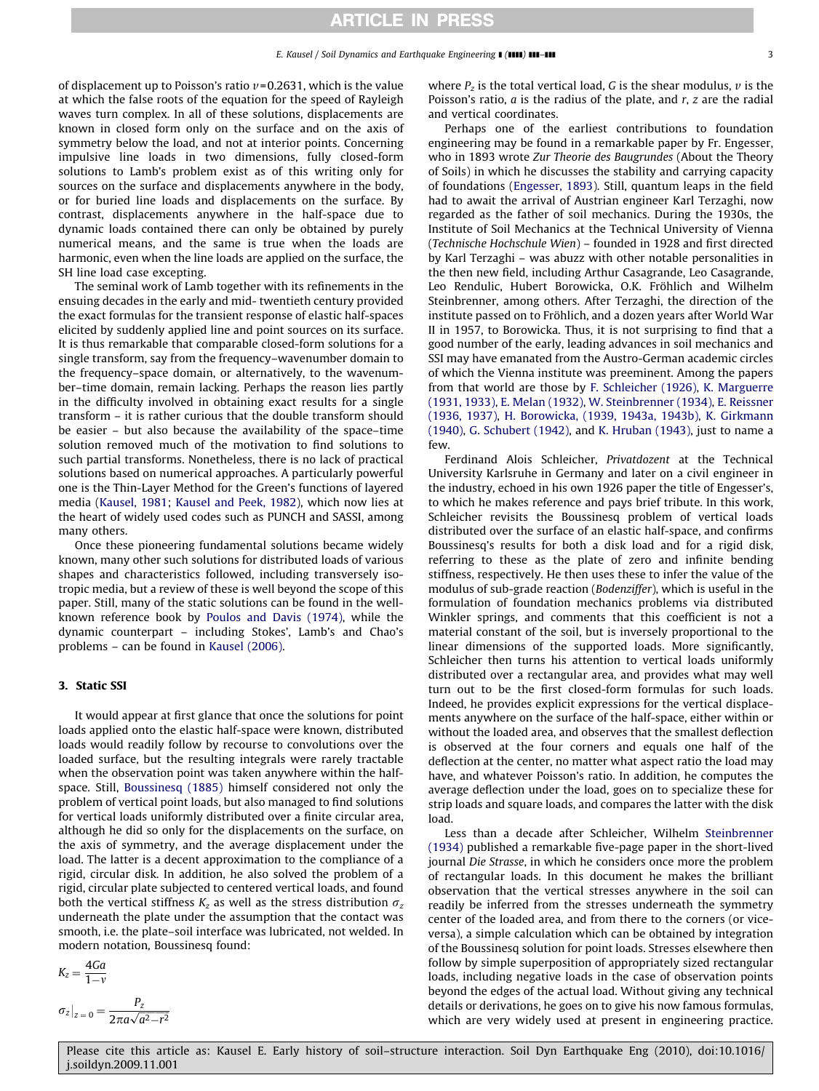of displacement up to Poisson's ratio  $\nu$ =0.2631, which is the value at which the false roots of the equation for the speed of Rayleigh waves turn complex. In all of these solutions, displacements are known in closed form only on the surface and on the axis of symmetry below the load, and not at interior points. Concerning impulsive line loads in two dimensions, fully closed-form solutions to Lamb's problem exist as of this writing only for sources on the surface and displacements anywhere in the body, or for buried line loads and displacements on the surface. By contrast, displacements anywhere in the half-space due to dynamic loads contained there can only be obtained by purely numerical means, and the same is true when the loads are harmonic, even when the line loads are applied on the surface, the SH line load case excepting.

The seminal work of Lamb together with its refinements in the ensuing decades in the early and mid- twentieth century provided the exact formulas for the transient response of elastic half-spaces elicited by suddenly applied line and point sources on its surface. It is thus remarkable that comparable closed-form solutions for a single transform, say from the frequency–wavenumber domain to the frequency–space domain, or alternatively, to the wavenumber–time domain, remain lacking. Perhaps the reason lies partly in the difficulty involved in obtaining exact results for a single transform – it is rather curious that the double transform should be easier – but also because the availability of the space–time solution removed much of the motivation to find solutions to such partial transforms. Nonetheless, there is no lack of practical solutions based on numerical approaches. A particularly powerful one is the Thin-Layer Method for the Green's functions of layered media [\(Kausel, 1981;](#page-9-0) [Kausel and Peek, 1982\)](#page-9-0), which now lies at the heart of widely used codes such as PUNCH and SASSI, among many others.

Once these pioneering fundamental solutions became widely known, many other such solutions for distributed loads of various shapes and characteristics followed, including transversely isotropic media, but a review of these is well beyond the scope of this paper. Still, many of the static solutions can be found in the wellknown reference book by [Poulos and Davis \(1974\)](#page-9-0), while the dynamic counterpart – including Stokes', Lamb's and Chao's problems – can be found in [Kausel \(2006\)](#page-9-0).

#### 3. Static SSI

It would appear at first glance that once the solutions for point loads applied onto the elastic half-space were known, distributed loads would readily follow by recourse to convolutions over the loaded surface, but the resulting integrals were rarely tractable when the observation point was taken anywhere within the halfspace. Still, [Boussinesq \(1885\)](#page-8-0) himself considered not only the problem of vertical point loads, but also managed to find solutions for vertical loads uniformly distributed over a finite circular area, although he did so only for the displacements on the surface, on the axis of symmetry, and the average displacement under the load. The latter is a decent approximation to the compliance of a rigid, circular disk. In addition, he also solved the problem of a rigid, circular plate subjected to centered vertical loads, and found both the vertical stiffness  $K_z$  as well as the stress distribution  $\sigma_z$ underneath the plate under the assumption that the contact was smooth, i.e. the plate–soil interface was lubricated, not welded. In modern notation, Boussinesq found:

$$
K_z = \frac{Rz}{1 - v}
$$

$$
\sigma_z|_{z=0} = \frac{P_z}{2\pi a \sqrt{a^2 - r^2}}
$$

 $AC<sub>a</sub>$ 

where  $P_z$  is the total vertical load, G is the shear modulus,  $\nu$  is the Poisson's ratio,  $a$  is the radius of the plate, and  $r$ ,  $z$  are the radial and vertical coordinates.

Perhaps one of the earliest contributions to foundation engineering may be found in a remarkable paper by Fr. Engesser, who in 1893 wrote Zur Theorie des Baugrundes (About the Theory of Soils) in which he discusses the stability and carrying capacity of foundations ([Engesser, 1893](#page-8-0)). Still, quantum leaps in the field had to await the arrival of Austrian engineer Karl Terzaghi, now regarded as the father of soil mechanics. During the 1930s, the Institute of Soil Mechanics at the Technical University of Vienna (Technische Hochschule Wien) – founded in 1928 and first directed by Karl Terzaghi – was abuzz with other notable personalities in the then new field, including Arthur Casagrande, Leo Casagrande, Leo Rendulic, Hubert Borowicka, O.K. Fröhlich and Wilhelm Steinbrenner, among others. After Terzaghi, the direction of the institute passed on to Fröhlich, and a dozen years after World War II in 1957, to Borowicka. Thus, it is not surprising to find that a good number of the early, leading advances in soil mechanics and SSI may have emanated from the Austro-German academic circles of which the Vienna institute was preeminent. Among the papers from that world are those by [F. Schleicher \(1926\),](#page-9-0) [K. Marguerre](#page-9-0) [\(1931, 1933\)](#page-9-0), [E. Melan \(1932\)](#page-9-0), [W. Steinbrenner \(1934\),](#page-9-0) [E. Reissner](#page-9-0) [\(1936, 1937\),](#page-9-0) [H. Borowicka, \(1939, 1943a, 1943b\)](#page-8-0), [K. Girkmann](#page-8-0) [\(1940\),](#page-8-0) [G. Schubert \(1942\),](#page-9-0) and [K. Hruban \(1943\)](#page-9-0), just to name a few.

Ferdinand Alois Schleicher, Privatdozent at the Technical University Karlsruhe in Germany and later on a civil engineer in the industry, echoed in his own 1926 paper the title of Engesser's, to which he makes reference and pays brief tribute. In this work, Schleicher revisits the Boussinesq problem of vertical loads distributed over the surface of an elastic half-space, and confirms Boussinesq's results for both a disk load and for a rigid disk, referring to these as the plate of zero and infinite bending stiffness, respectively. He then uses these to infer the value of the modulus of sub-grade reaction (Bodenziffer), which is useful in the formulation of foundation mechanics problems via distributed Winkler springs, and comments that this coefficient is not a material constant of the soil, but is inversely proportional to the linear dimensions of the supported loads. More significantly, Schleicher then turns his attention to vertical loads uniformly distributed over a rectangular area, and provides what may well turn out to be the first closed-form formulas for such loads. Indeed, he provides explicit expressions for the vertical displacements anywhere on the surface of the half-space, either within or without the loaded area, and observes that the smallest deflection is observed at the four corners and equals one half of the deflection at the center, no matter what aspect ratio the load may have, and whatever Poisson's ratio. In addition, he computes the average deflection under the load, goes on to specialize these for strip loads and square loads, and compares the latter with the disk load.

Less than a decade after Schleicher, Wilhelm [Steinbrenner](#page-9-0) [\(1934\)](#page-9-0) published a remarkable five-page paper in the short-lived journal Die Strasse, in which he considers once more the problem of rectangular loads. In this document he makes the brilliant observation that the vertical stresses anywhere in the soil can readily be inferred from the stresses underneath the symmetry center of the loaded area, and from there to the corners (or viceversa), a simple calculation which can be obtained by integration of the Boussinesq solution for point loads. Stresses elsewhere then follow by simple superposition of appropriately sized rectangular loads, including negative loads in the case of observation points beyond the edges of the actual load. Without giving any technical details or derivations, he goes on to give his now famous formulas, which are very widely used at present in engineering practice.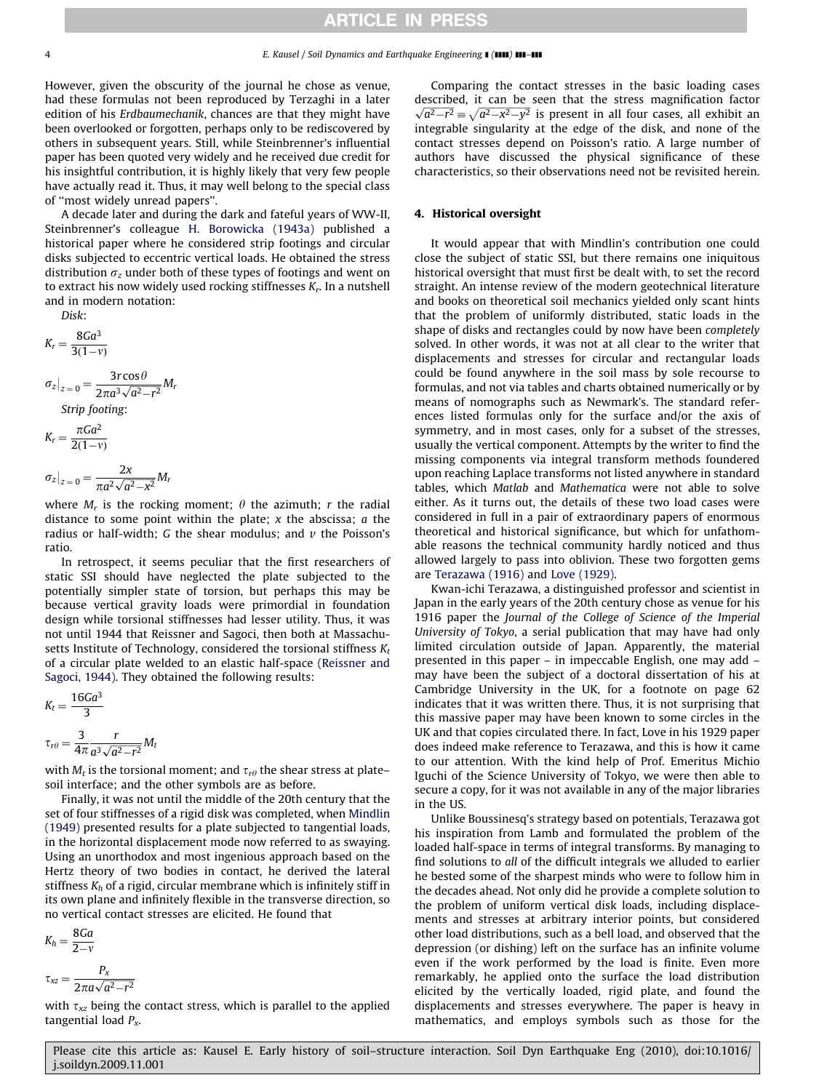However, given the obscurity of the journal he chose as venue, had these formulas not been reproduced by Terzaghi in a later edition of his Erdbaumechanik, chances are that they might have been overlooked or forgotten, perhaps only to be rediscovered by others in subsequent years. Still, while Steinbrenner's influential paper has been quoted very widely and he received due credit for his insightful contribution, it is highly likely that very few people have actually read it. Thus, it may well belong to the special class of ''most widely unread papers''.

A decade later and during the dark and fateful years of WW-II, Steinbrenner's colleague [H. Borowicka \(1943a\)](#page-8-0) published a historical paper where he considered strip footings and circular disks subjected to eccentric vertical loads. He obtained the stress distribution  $\sigma$ <sub>z</sub> under both of these types of footings and went on to extract his now widely used rocking stiffnesses  $K_r$ . In a nutshell and in modern notation:

Disk:

$$
K_r = \frac{8Ga^3}{3(1-v)}
$$
  
\n
$$
\sigma_z|_{z=0} = \frac{3r\cos\theta}{2\pi a^3 \sqrt{a^2 - r^2}} M_r
$$
  
\n
$$
K_r = \frac{\pi Ga^2}{2(1-v)}
$$

$$
\sigma_z\big|_{z=0} = \frac{2x}{\pi a^2 \sqrt{a^2 - x^2}} M_r
$$

where  $M_r$  is the rocking moment;  $\theta$  the azimuth; r the radial distance to some point within the plate;  $x$  the abscissa;  $a$  the radius or half-width; G the shear modulus; and  $\nu$  the Poisson's ratio.

In retrospect, it seems peculiar that the first researchers of static SSI should have neglected the plate subjected to the potentially simpler state of torsion, but perhaps this may be because vertical gravity loads were primordial in foundation design while torsional stiffnesses had lesser utility. Thus, it was not until 1944 that Reissner and Sagoci, then both at Massachusetts Institute of Technology, considered the torsional stiffness  $K_t$ of a circular plate welded to an elastic half-space [\(Reissner and](#page-9-0) [Sagoci, 1944\)](#page-9-0). They obtained the following results:

$$
K_t = \frac{16Ga^3}{3}
$$

$$
\tau_{r\theta} = \frac{3}{4\pi} \frac{r}{a^3 \sqrt{a^2 - r^2}} M_t
$$

with  $M_t$  is the torsional moment; and  $\tau_{r\theta}$  the shear stress at plate– soil interface; and the other symbols are as before.

Finally, it was not until the middle of the 20th century that the set of four stiffnesses of a rigid disk was completed, when [Mindlin](#page-9-0) [\(1949\)](#page-9-0) presented results for a plate subjected to tangential loads, in the horizontal displacement mode now referred to as swaying. Using an unorthodox and most ingenious approach based on the Hertz theory of two bodies in contact, he derived the lateral stiffness  $K_h$  of a rigid, circular membrane which is infinitely stiff in its own plane and infinitely flexible in the transverse direction, so no vertical contact stresses are elicited. He found that

$$
K_h = \frac{8Ga}{2 - v}
$$

$$
\tau_{xz} = \frac{P_x}{2\pi a\sqrt{a^2 - r^2}}
$$

with  $\tau_{xz}$  being the contact stress, which is parallel to the applied tangential load  $P_x$ .

Comparing the contact stresses in the basic loading cases described, it can be seen that the stress magnification factor described, it can be seen that the stress magnification factor<br> $\sqrt{a^2-r^2} \equiv \sqrt{a^2-x^2-y^2}$  is present in all four cases, all exhibit an integrable singularity at the edge of the disk, and none of the contact stresses depend on Poisson's ratio. A large number of authors have discussed the physical significance of these characteristics, so their observations need not be revisited herein.

#### 4. Historical oversight

It would appear that with Mindlin's contribution one could close the subject of static SSI, but there remains one iniquitous historical oversight that must first be dealt with, to set the record straight. An intense review of the modern geotechnical literature and books on theoretical soil mechanics yielded only scant hints that the problem of uniformly distributed, static loads in the shape of disks and rectangles could by now have been completely solved. In other words, it was not at all clear to the writer that displacements and stresses for circular and rectangular loads could be found anywhere in the soil mass by sole recourse to formulas, and not via tables and charts obtained numerically or by means of nomographs such as Newmark's. The standard references listed formulas only for the surface and/or the axis of symmetry, and in most cases, only for a subset of the stresses, usually the vertical component. Attempts by the writer to find the missing components via integral transform methods foundered upon reaching Laplace transforms not listed anywhere in standard tables, which Matlab and Mathematica were not able to solve either. As it turns out, the details of these two load cases were considered in full in a pair of extraordinary papers of enormous theoretical and historical significance, but which for unfathomable reasons the technical community hardly noticed and thus allowed largely to pass into oblivion. These two forgotten gems are [Terazawa \(1916\)](#page-9-0) and [Love \(1929\).](#page-9-0)

Kwan-ichi Terazawa, a distinguished professor and scientist in Japan in the early years of the 20th century chose as venue for his 1916 paper the Journal of the College of Science of the Imperial University of Tokyo, a serial publication that may have had only limited circulation outside of Japan. Apparently, the material presented in this paper – in impeccable English, one may add – may have been the subject of a doctoral dissertation of his at Cambridge University in the UK, for a footnote on page 62 indicates that it was written there. Thus, it is not surprising that this massive paper may have been known to some circles in the UK and that copies circulated there. In fact, Love in his 1929 paper does indeed make reference to Terazawa, and this is how it came to our attention. With the kind help of Prof. Emeritus Michio Iguchi of the Science University of Tokyo, we were then able to secure a copy, for it was not available in any of the major libraries in the US.

Unlike Boussinesq's strategy based on potentials, Terazawa got his inspiration from Lamb and formulated the problem of the loaded half-space in terms of integral transforms. By managing to find solutions to all of the difficult integrals we alluded to earlier he bested some of the sharpest minds who were to follow him in the decades ahead. Not only did he provide a complete solution to the problem of uniform vertical disk loads, including displacements and stresses at arbitrary interior points, but considered other load distributions, such as a bell load, and observed that the depression (or dishing) left on the surface has an infinite volume even if the work performed by the load is finite. Even more remarkably, he applied onto the surface the load distribution elicited by the vertically loaded, rigid plate, and found the displacements and stresses everywhere. The paper is heavy in mathematics, and employs symbols such as those for the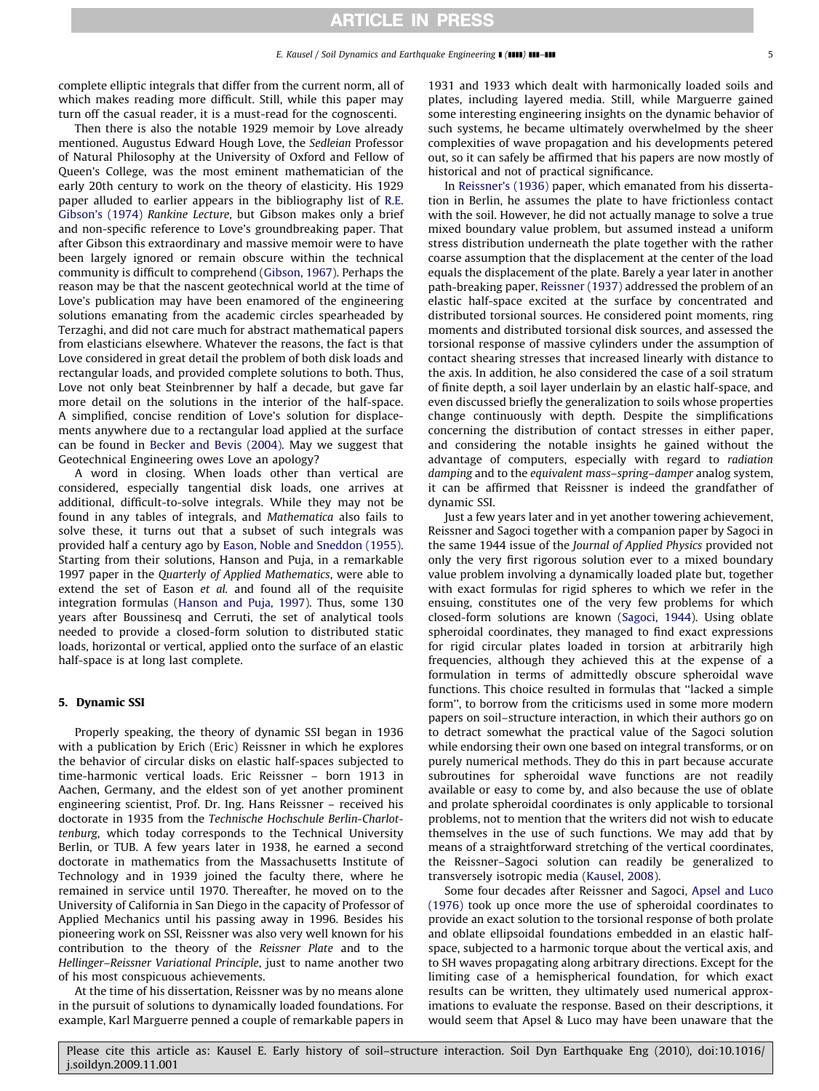complete elliptic integrals that differ from the current norm, all of which makes reading more difficult. Still, while this paper may turn off the casual reader, it is a must-read for the cognoscenti.

Then there is also the notable 1929 memoir by Love already mentioned. Augustus Edward Hough Love, the Sedleian Professor of Natural Philosophy at the University of Oxford and Fellow of Queen's College, was the most eminent mathematician of the early 20th century to work on the theory of elasticity. His 1929 paper alluded to earlier appears in the bibliography list of [R.E.](#page-8-0) [Gibson's \(1974\)](#page-8-0) Rankine Lecture, but Gibson makes only a brief and non-specific reference to Love's groundbreaking paper. That after Gibson this extraordinary and massive memoir were to have been largely ignored or remain obscure within the technical community is difficult to comprehend ([Gibson, 1967\)](#page-8-0). Perhaps the reason may be that the nascent geotechnical world at the time of Love's publication may have been enamored of the engineering solutions emanating from the academic circles spearheaded by Terzaghi, and did not care much for abstract mathematical papers from elasticians elsewhere. Whatever the reasons, the fact is that Love considered in great detail the problem of both disk loads and rectangular loads, and provided complete solutions to both. Thus, Love not only beat Steinbrenner by half a decade, but gave far more detail on the solutions in the interior of the half-space. A simplified, concise rendition of Love's solution for displacements anywhere due to a rectangular load applied at the surface can be found in [Becker and Bevis \(2004\).](#page-8-0) May we suggest that Geotechnical Engineering owes Love an apology?

A word in closing. When loads other than vertical are considered, especially tangential disk loads, one arrives at additional, difficult-to-solve integrals. While they may not be found in any tables of integrals, and Mathematica also fails to solve these, it turns out that a subset of such integrals was provided half a century ago by [Eason, Noble and Sneddon \(1955\).](#page-8-0) Starting from their solutions, Hanson and Puja, in a remarkable 1997 paper in the Quarterly of Applied Mathematics, were able to extend the set of Eason et al. and found all of the requisite integration formulas ([Hanson and Puja, 1997\)](#page-8-0). Thus, some 130 years after Boussinesq and Cerruti, the set of analytical tools needed to provide a closed-form solution to distributed static loads, horizontal or vertical, applied onto the surface of an elastic half-space is at long last complete.

#### 5. Dynamic SSI

Properly speaking, the theory of dynamic SSI began in 1936 with a publication by Erich (Eric) Reissner in which he explores the behavior of circular disks on elastic half-spaces subjected to time-harmonic vertical loads. Eric Reissner – born 1913 in Aachen, Germany, and the eldest son of yet another prominent engineering scientist, Prof. Dr. Ing. Hans Reissner – received his doctorate in 1935 from the Technische Hochschule Berlin-Charlottenburg, which today corresponds to the Technical University Berlin, or TUB. A few years later in 1938, he earned a second doctorate in mathematics from the Massachusetts Institute of Technology and in 1939 joined the faculty there, where he remained in service until 1970. Thereafter, he moved on to the University of California in San Diego in the capacity of Professor of Applied Mechanics until his passing away in 1996. Besides his pioneering work on SSI, Reissner was also very well known for his contribution to the theory of the Reissner Plate and to the Hellinger–Reissner Variational Principle, just to name another two of his most conspicuous achievements.

At the time of his dissertation, Reissner was by no means alone in the pursuit of solutions to dynamically loaded foundations. For example, Karl Marguerre penned a couple of remarkable papers in 1931 and 1933 which dealt with harmonically loaded soils and plates, including layered media. Still, while Marguerre gained some interesting engineering insights on the dynamic behavior of such systems, he became ultimately overwhelmed by the sheer complexities of wave propagation and his developments petered out, so it can safely be affirmed that his papers are now mostly of historical and not of practical significance.

In [Reissner's \(1936\)](#page-9-0) paper, which emanated from his dissertation in Berlin, he assumes the plate to have frictionless contact with the soil. However, he did not actually manage to solve a true mixed boundary value problem, but assumed instead a uniform stress distribution underneath the plate together with the rather coarse assumption that the displacement at the center of the load equals the displacement of the plate. Barely a year later in another path-breaking paper, [Reissner \(1937\)](#page-9-0) addressed the problem of an elastic half-space excited at the surface by concentrated and distributed torsional sources. He considered point moments, ring moments and distributed torsional disk sources, and assessed the torsional response of massive cylinders under the assumption of contact shearing stresses that increased linearly with distance to the axis. In addition, he also considered the case of a soil stratum of finite depth, a soil layer underlain by an elastic half-space, and even discussed briefly the generalization to soils whose properties change continuously with depth. Despite the simplifications concerning the distribution of contact stresses in either paper, and considering the notable insights he gained without the advantage of computers, especially with regard to radiation damping and to the equivalent mass–spring–damper analog system, it can be affirmed that Reissner is indeed the grandfather of dynamic SSI.

Just a few years later and in yet another towering achievement, Reissner and Sagoci together with a companion paper by Sagoci in the same 1944 issue of the Journal of Applied Physics provided not only the very first rigorous solution ever to a mixed boundary value problem involving a dynamically loaded plate but, together with exact formulas for rigid spheres to which we refer in the ensuing, constitutes one of the very few problems for which closed-form solutions are known ([Sagoci, 1944\)](#page-9-0). Using oblate spheroidal coordinates, they managed to find exact expressions for rigid circular plates loaded in torsion at arbitrarily high frequencies, although they achieved this at the expense of a formulation in terms of admittedly obscure spheroidal wave functions. This choice resulted in formulas that ''lacked a simple form'', to borrow from the criticisms used in some more modern papers on soil–structure interaction, in which their authors go on to detract somewhat the practical value of the Sagoci solution while endorsing their own one based on integral transforms, or on purely numerical methods. They do this in part because accurate subroutines for spheroidal wave functions are not readily available or easy to come by, and also because the use of oblate and prolate spheroidal coordinates is only applicable to torsional problems, not to mention that the writers did not wish to educate themselves in the use of such functions. We may add that by means of a straightforward stretching of the vertical coordinates, the Reissner–Sagoci solution can readily be generalized to transversely isotropic media ([Kausel, 2008\)](#page-9-0).

Some four decades after Reissner and Sagoci, [Apsel and Luco](#page-8-0) [\(1976\)](#page-8-0) took up once more the use of spheroidal coordinates to provide an exact solution to the torsional response of both prolate and oblate ellipsoidal foundations embedded in an elastic halfspace, subjected to a harmonic torque about the vertical axis, and to SH waves propagating along arbitrary directions. Except for the limiting case of a hemispherical foundation, for which exact results can be written, they ultimately used numerical approximations to evaluate the response. Based on their descriptions, it would seem that Apsel & Luco may have been unaware that the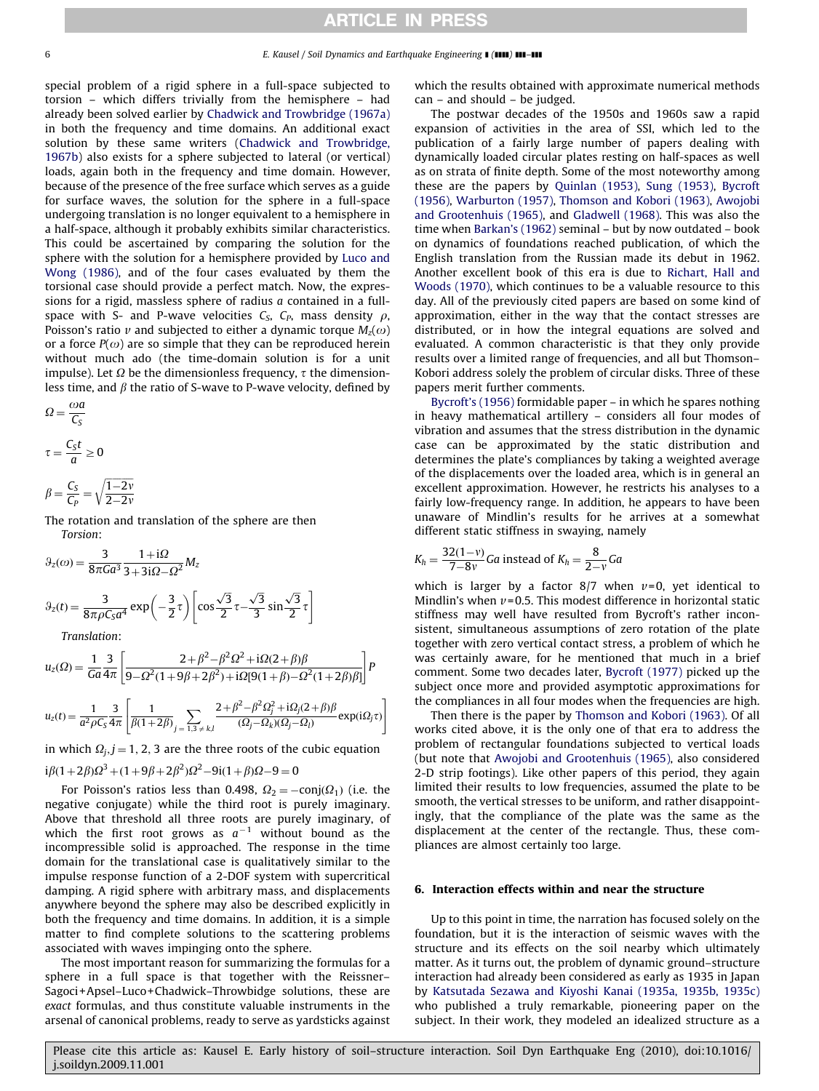special problem of a rigid sphere in a full-space subjected to torsion – which differs trivially from the hemisphere – had already been solved earlier by [Chadwick and Trowbridge \(1967a\)](#page-8-0) in both the frequency and time domains. An additional exact solution by these same writers [\(Chadwick and Trowbridge,](#page-8-0) [1967b\)](#page-8-0) also exists for a sphere subjected to lateral (or vertical) loads, again both in the frequency and time domain. However, because of the presence of the free surface which serves as a guide for surface waves, the solution for the sphere in a full-space undergoing translation is no longer equivalent to a hemisphere in a half-space, although it probably exhibits similar characteristics. This could be ascertained by comparing the solution for the sphere with the solution for a hemisphere provided by [Luco and](#page-9-0) [Wong \(1986\)](#page-9-0), and of the four cases evaluated by them the torsional case should provide a perfect match. Now, the expressions for a rigid, massless sphere of radius a contained in a fullspace with S- and P-wave velocities  $C_S$ ,  $C_P$ , mass density  $\rho$ , Poisson's ratio  $\nu$  and subjected to either a dynamic torque  $M_z(\omega)$ or a force  $P(\omega)$  are so simple that they can be reproduced herein without much ado (the time-domain solution is for a unit impulse). Let  $\Omega$  be the dimensionless frequency,  $\tau$  the dimensionless time, and  $\beta$  the ratio of S-wave to P-wave velocity, defined by

$$
\Omega = \frac{\omega a}{C_S}
$$

$$
\tau = \frac{C_S t}{a} \ge 0
$$

$$
\beta = \frac{C_S}{C_P} = \sqrt{\frac{1 - 2v}{2 - 2v}}
$$

The rotation and translation of the sphere are then Torsion:

$$
\vartheta_z(\omega) = \frac{3}{8\pi G a^3} \frac{1 + i\Omega}{3 + 3i\Omega - \Omega^2} M_z
$$

$$
\vartheta_z(t) = \frac{3}{8\pi \rho C_S a^4} \exp\left(-\frac{3}{2}\tau\right) \left[\cos\frac{\sqrt{3}}{2}\tau - \frac{\sqrt{3}}{3}\sin\frac{\sqrt{3}}{2}\tau\right]
$$

Translation:

$$
u_z(\Omega) = \frac{1}{Ga} \frac{3}{4\pi} \left[ \frac{2 + \beta^2 - \beta^2 \Omega^2 + i\Omega(2 + \beta)\beta}{9 - \Omega^2 (1 + 9\beta + 2\beta^2) + i\Omega[9(1 + \beta) - \Omega^2 (1 + 2\beta)\beta]} \right] P
$$

$$
u_z(t) = \frac{1}{\alpha^2 \rho C_S} \frac{3}{4\pi} \left[ \frac{1}{\beta(1+2\beta)} \sum_{j=1,3\neq k,l} \frac{2+\beta^2-\beta^2 \Omega_j^2 + i\Omega_j(2+\beta)\beta}{(\Omega_j - \Omega_k)(\Omega_j - \Omega_l)} \exp(i\Omega_j \tau) \right]
$$

in which  $Q_i$ ,  $j = 1, 2, 3$  are the three roots of the cubic equation  $i\beta(1+2\beta)\Omega^3 + (1+9\beta+2\beta^2)\Omega^2 - 9i(1+\beta)\Omega - 9 = 0$ 

For Poisson's ratios less than 0.498,  $\Omega_2 = -\text{conj}(\Omega_1)$  (i.e. the negative conjugate) while the third root is purely imaginary. Above that threshold all three roots are purely imaginary, of which the first root grows as  $a^{-1}$  without bound as the incompressible solid is approached. The response in the time domain for the translational case is qualitatively similar to the impulse response function of a 2-DOF system with supercritical damping. A rigid sphere with arbitrary mass, and displacements anywhere beyond the sphere may also be described explicitly in both the frequency and time domains. In addition, it is a simple matter to find complete solutions to the scattering problems associated with waves impinging onto the sphere.

The most important reason for summarizing the formulas for a sphere in a full space is that together with the Reissner– Sagoci+Apsel–Luco+Chadwick–Throwbidge solutions, these are exact formulas, and thus constitute valuable instruments in the arsenal of canonical problems, ready to serve as yardsticks against which the results obtained with approximate numerical methods can – and should – be judged.

The postwar decades of the 1950s and 1960s saw a rapid expansion of activities in the area of SSI, which led to the publication of a fairly large number of papers dealing with dynamically loaded circular plates resting on half-spaces as well as on strata of finite depth. Some of the most noteworthy among these are the papers by [Quinlan \(1953\),](#page-9-0) [Sung \(1953\),](#page-9-0) [Bycroft](#page-8-0) [\(1956\)](#page-8-0), [Warburton \(1957\),](#page-10-0) [Thomson and Kobori \(1963\)](#page-9-0), [Awojobi](#page-8-0) [and Grootenhuis \(1965\),](#page-8-0) and [Gladwell \(1968\).](#page-8-0) This was also the time when [Barkan's \(1962\)](#page-8-0) seminal – but by now outdated – book on dynamics of foundations reached publication, of which the English translation from the Russian made its debut in 1962. Another excellent book of this era is due to [Richart, Hall and](#page-9-0) [Woods \(1970\)](#page-9-0), which continues to be a valuable resource to this day. All of the previously cited papers are based on some kind of approximation, either in the way that the contact stresses are distributed, or in how the integral equations are solved and evaluated. A common characteristic is that they only provide results over a limited range of frequencies, and all but Thomson– Kobori address solely the problem of circular disks. Three of these papers merit further comments.

[Bycroft's \(1956\)](#page-8-0) formidable paper – in which he spares nothing in heavy mathematical artillery – considers all four modes of vibration and assumes that the stress distribution in the dynamic case can be approximated by the static distribution and determines the plate's compliances by taking a weighted average of the displacements over the loaded area, which is in general an excellent approximation. However, he restricts his analyses to a fairly low-frequency range. In addition, he appears to have been unaware of Mindlin's results for he arrives at a somewhat different static stiffness in swaying, namely

$$
K_h = \frac{32(1 - v)}{7 - 8v}
$$
 Ga instead of  $K_h = \frac{8}{2 - v}$  Ga

which is larger by a factor  $8/7$  when  $\nu=0$ , yet identical to Mindlin's when  $\nu$ =0.5. This modest difference in horizontal static stiffness may well have resulted from Bycroft's rather inconsistent, simultaneous assumptions of zero rotation of the plate together with zero vertical contact stress, a problem of which he was certainly aware, for he mentioned that much in a brief comment. Some two decades later, [Bycroft \(1977\)](#page-8-0) picked up the subject once more and provided asymptotic approximations for the compliances in all four modes when the frequencies are high.

Then there is the paper by [Thomson and Kobori \(1963\)](#page-9-0). Of all works cited above, it is the only one of that era to address the problem of rectangular foundations subjected to vertical loads (but note that [Awojobi and Grootenhuis \(1965\),](#page-8-0) also considered 2-D strip footings). Like other papers of this period, they again limited their results to low frequencies, assumed the plate to be smooth, the vertical stresses to be uniform, and rather disappointingly, that the compliance of the plate was the same as the displacement at the center of the rectangle. Thus, these compliances are almost certainly too large.

#### 6. Interaction effects within and near the structure

Up to this point in time, the narration has focused solely on the foundation, but it is the interaction of seismic waves with the structure and its effects on the soil nearby which ultimately matter. As it turns out, the problem of dynamic ground–structure interaction had already been considered as early as 1935 in Japan by [Katsutada Sezawa and Kiyoshi Kanai \(1935a, 1935b, 1935c\)](#page-9-0) who published a truly remarkable, pioneering paper on the subject. In their work, they modeled an idealized structure as a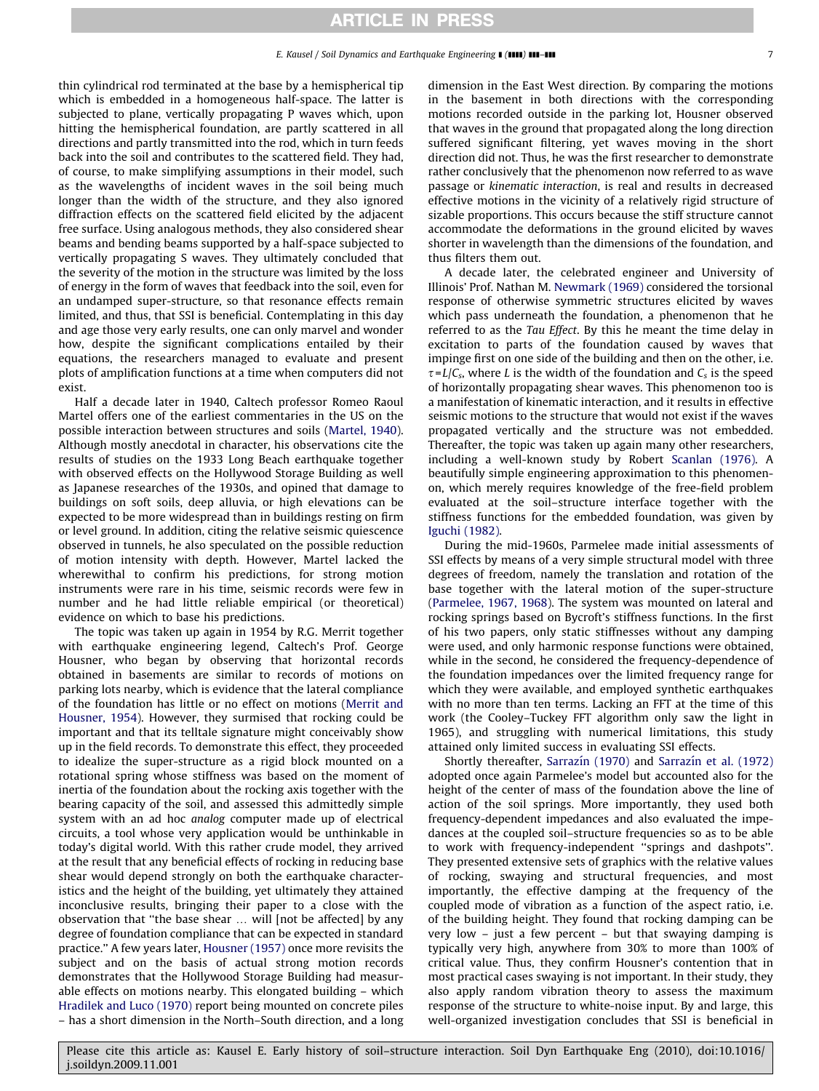thin cylindrical rod terminated at the base by a hemispherical tip which is embedded in a homogeneous half-space. The latter is subjected to plane, vertically propagating P waves which, upon hitting the hemispherical foundation, are partly scattered in all directions and partly transmitted into the rod, which in turn feeds back into the soil and contributes to the scattered field. They had, of course, to make simplifying assumptions in their model, such as the wavelengths of incident waves in the soil being much longer than the width of the structure, and they also ignored diffraction effects on the scattered field elicited by the adjacent free surface. Using analogous methods, they also considered shear beams and bending beams supported by a half-space subjected to vertically propagating S waves. They ultimately concluded that the severity of the motion in the structure was limited by the loss of energy in the form of waves that feedback into the soil, even for an undamped super-structure, so that resonance effects remain limited, and thus, that SSI is beneficial. Contemplating in this day and age those very early results, one can only marvel and wonder how, despite the significant complications entailed by their equations, the researchers managed to evaluate and present plots of amplification functions at a time when computers did not exist.

Half a decade later in 1940, Caltech professor Romeo Raoul Martel offers one of the earliest commentaries in the US on the possible interaction between structures and soils [\(Martel, 1940\)](#page-9-0). Although mostly anecdotal in character, his observations cite the results of studies on the 1933 Long Beach earthquake together with observed effects on the Hollywood Storage Building as well as Japanese researches of the 1930s, and opined that damage to buildings on soft soils, deep alluvia, or high elevations can be expected to be more widespread than in buildings resting on firm or level ground. In addition, citing the relative seismic quiescence observed in tunnels, he also speculated on the possible reduction of motion intensity with depth. However, Martel lacked the wherewithal to confirm his predictions, for strong motion instruments were rare in his time, seismic records were few in number and he had little reliable empirical (or theoretical) evidence on which to base his predictions.

The topic was taken up again in 1954 by R.G. Merrit together with earthquake engineering legend, Caltech's Prof. George Housner, who began by observing that horizontal records obtained in basements are similar to records of motions on parking lots nearby, which is evidence that the lateral compliance of the foundation has little or no effect on motions ([Merrit and](#page-9-0) [Housner, 1954\)](#page-9-0). However, they surmised that rocking could be important and that its telltale signature might conceivably show up in the field records. To demonstrate this effect, they proceeded to idealize the super-structure as a rigid block mounted on a rotational spring whose stiffness was based on the moment of inertia of the foundation about the rocking axis together with the bearing capacity of the soil, and assessed this admittedly simple system with an ad hoc analog computer made up of electrical circuits, a tool whose very application would be unthinkable in today's digital world. With this rather crude model, they arrived at the result that any beneficial effects of rocking in reducing base shear would depend strongly on both the earthquake characteristics and the height of the building, yet ultimately they attained inconclusive results, bringing their paper to a close with the observation that "the base shear ... will [not be affected] by any degree of foundation compliance that can be expected in standard practice.'' A few years later, [Housner \(1957\)](#page-8-0) once more revisits the subject and on the basis of actual strong motion records demonstrates that the Hollywood Storage Building had measurable effects on motions nearby. This elongated building – which [Hradilek and Luco \(1970\)](#page-8-0) report being mounted on concrete piles – has a short dimension in the North–South direction, and a long

dimension in the East West direction. By comparing the motions in the basement in both directions with the corresponding motions recorded outside in the parking lot, Housner observed that waves in the ground that propagated along the long direction suffered significant filtering, yet waves moving in the short direction did not. Thus, he was the first researcher to demonstrate rather conclusively that the phenomenon now referred to as wave passage or kinematic interaction, is real and results in decreased effective motions in the vicinity of a relatively rigid structure of sizable proportions. This occurs because the stiff structure cannot accommodate the deformations in the ground elicited by waves shorter in wavelength than the dimensions of the foundation, and thus filters them out.

A decade later, the celebrated engineer and University of Illinois' Prof. Nathan M. [Newmark \(1969\)](#page-9-0) considered the torsional response of otherwise symmetric structures elicited by waves which pass underneath the foundation, a phenomenon that he referred to as the Tau Effect. By this he meant the time delay in excitation to parts of the foundation caused by waves that impinge first on one side of the building and then on the other, i.e.  $\tau = L/C_s$ , where L is the width of the foundation and  $C_s$  is the speed of horizontally propagating shear waves. This phenomenon too is a manifestation of kinematic interaction, and it results in effective seismic motions to the structure that would not exist if the waves propagated vertically and the structure was not embedded. Thereafter, the topic was taken up again many other researchers, including a well-known study by Robert [Scanlan \(1976\)](#page-9-0). A beautifully simple engineering approximation to this phenomenon, which merely requires knowledge of the free-field problem evaluated at the soil–structure interface together with the stiffness functions for the embedded foundation, was given by [Iguchi \(1982\)](#page-9-0).

During the mid-1960s, Parmelee made initial assessments of SSI effects by means of a very simple structural model with three degrees of freedom, namely the translation and rotation of the base together with the lateral motion of the super-structure ([Parmelee, 1967, 1968](#page-9-0)). The system was mounted on lateral and rocking springs based on Bycroft's stiffness functions. In the first of his two papers, only static stiffnesses without any damping were used, and only harmonic response functions were obtained, while in the second, he considered the frequency-dependence of the foundation impedances over the limited frequency range for which they were available, and employed synthetic earthquakes with no more than ten terms. Lacking an FFT at the time of this work (the Cooley–Tuckey FFT algorithm only saw the light in 1965), and struggling with numerical limitations, this study attained only limited success in evaluating SSI effects.

Shortly thereafter, Sarrazín (1970) and Sarrazín et al. (1972) adopted once again Parmelee's model but accounted also for the height of the center of mass of the foundation above the line of action of the soil springs. More importantly, they used both frequency-dependent impedances and also evaluated the impedances at the coupled soil–structure frequencies so as to be able to work with frequency-independent ''springs and dashpots''. They presented extensive sets of graphics with the relative values of rocking, swaying and structural frequencies, and most importantly, the effective damping at the frequency of the coupled mode of vibration as a function of the aspect ratio, i.e. of the building height. They found that rocking damping can be very low – just a few percent – but that swaying damping is typically very high, anywhere from 30% to more than 100% of critical value. Thus, they confirm Housner's contention that in most practical cases swaying is not important. In their study, they also apply random vibration theory to assess the maximum response of the structure to white-noise input. By and large, this well-organized investigation concludes that SSI is beneficial in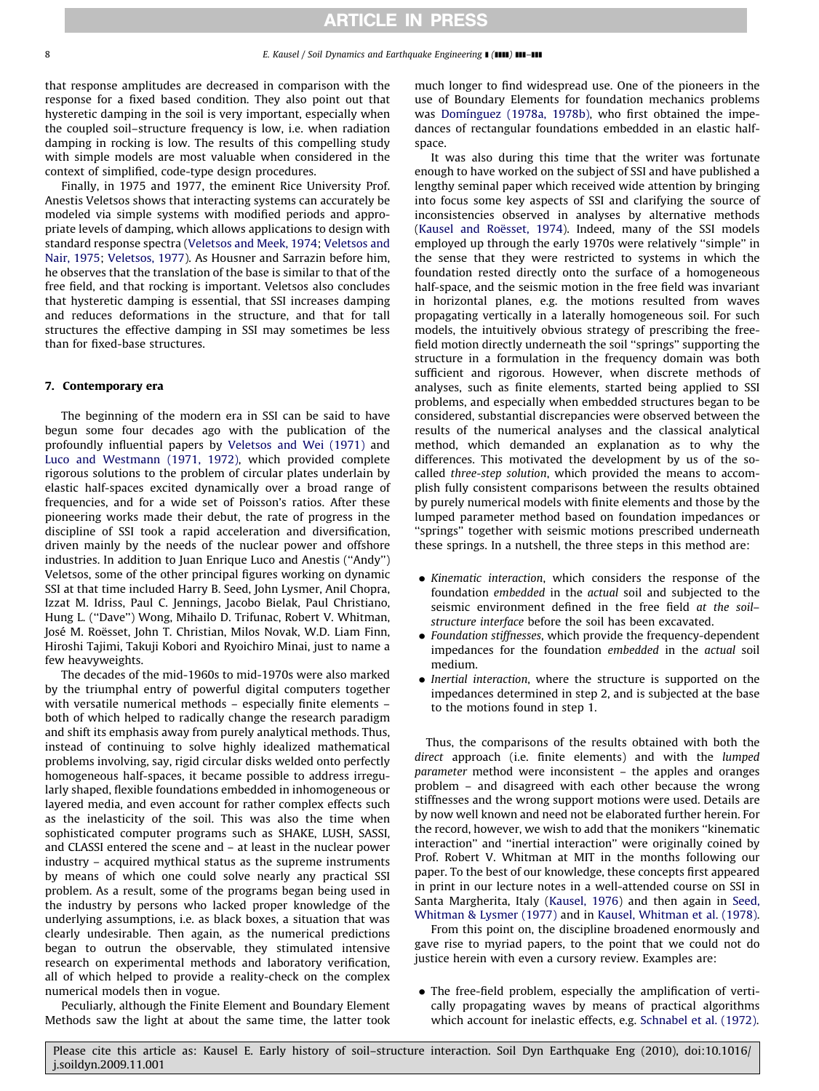that response amplitudes are decreased in comparison with the response for a fixed based condition. They also point out that hysteretic damping in the soil is very important, especially when the coupled soil–structure frequency is low, i.e. when radiation damping in rocking is low. The results of this compelling study with simple models are most valuable when considered in the context of simplified, code-type design procedures.

Finally, in 1975 and 1977, the eminent Rice University Prof. Anestis Veletsos shows that interacting systems can accurately be modeled via simple systems with modified periods and appropriate levels of damping, which allows applications to design with standard response spectra ([Veletsos and Meek, 1974;](#page-9-0) [Veletsos and](#page-9-0) [Nair, 1975;](#page-9-0) [Veletsos, 1977](#page-10-0)). As Housner and Sarrazin before him, he observes that the translation of the base is similar to that of the free field, and that rocking is important. Veletsos also concludes that hysteretic damping is essential, that SSI increases damping and reduces deformations in the structure, and that for tall structures the effective damping in SSI may sometimes be less than for fixed-base structures.

#### 7. Contemporary era

The beginning of the modern era in SSI can be said to have begun some four decades ago with the publication of the profoundly influential papers by [Veletsos and Wei \(1971\)](#page-9-0) and [Luco and Westmann \(1971, 1972\)](#page-9-0), which provided complete rigorous solutions to the problem of circular plates underlain by elastic half-spaces excited dynamically over a broad range of frequencies, and for a wide set of Poisson's ratios. After these pioneering works made their debut, the rate of progress in the discipline of SSI took a rapid acceleration and diversification, driven mainly by the needs of the nuclear power and offshore industries. In addition to Juan Enrique Luco and Anestis ("Andy") Veletsos, some of the other principal figures working on dynamic SSI at that time included Harry B. Seed, John Lysmer, Anil Chopra, Izzat M. Idriss, Paul C. Jennings, Jacobo Bielak, Paul Christiano, Hung L. (''Dave'') Wong, Mihailo D. Trifunac, Robert V. Whitman, José M. Roësset, John T. Christian, Milos Novak, W.D. Liam Finn, Hiroshi Tajimi, Takuji Kobori and Ryoichiro Minai, just to name a few heavyweights.

The decades of the mid-1960s to mid-1970s were also marked by the triumphal entry of powerful digital computers together with versatile numerical methods – especially finite elements – both of which helped to radically change the research paradigm and shift its emphasis away from purely analytical methods. Thus, instead of continuing to solve highly idealized mathematical problems involving, say, rigid circular disks welded onto perfectly homogeneous half-spaces, it became possible to address irregularly shaped, flexible foundations embedded in inhomogeneous or layered media, and even account for rather complex effects such as the inelasticity of the soil. This was also the time when sophisticated computer programs such as SHAKE, LUSH, SASSI, and CLASSI entered the scene and – at least in the nuclear power industry – acquired mythical status as the supreme instruments by means of which one could solve nearly any practical SSI problem. As a result, some of the programs began being used in the industry by persons who lacked proper knowledge of the underlying assumptions, i.e. as black boxes, a situation that was clearly undesirable. Then again, as the numerical predictions began to outrun the observable, they stimulated intensive research on experimental methods and laboratory verification, all of which helped to provide a reality-check on the complex numerical models then in vogue.

Peculiarly, although the Finite Element and Boundary Element Methods saw the light at about the same time, the latter took much longer to find widespread use. One of the pioneers in the use of Boundary Elements for foundation mechanics problems was Domínguez (1978a, 1978b), who first obtained the impedances of rectangular foundations embedded in an elastic halfspace.

It was also during this time that the writer was fortunate enough to have worked on the subject of SSI and have published a lengthy seminal paper which received wide attention by bringing into focus some key aspects of SSI and clarifying the source of inconsistencies observed in analyses by alternative methods (Kausel and Roësset, 1974). Indeed, many of the SSI models employed up through the early 1970s were relatively ''simple'' in the sense that they were restricted to systems in which the foundation rested directly onto the surface of a homogeneous half-space, and the seismic motion in the free field was invariant in horizontal planes, e.g. the motions resulted from waves propagating vertically in a laterally homogeneous soil. For such models, the intuitively obvious strategy of prescribing the freefield motion directly underneath the soil ''springs'' supporting the structure in a formulation in the frequency domain was both sufficient and rigorous. However, when discrete methods of analyses, such as finite elements, started being applied to SSI problems, and especially when embedded structures began to be considered, substantial discrepancies were observed between the results of the numerical analyses and the classical analytical method, which demanded an explanation as to why the differences. This motivated the development by us of the socalled three-step solution, which provided the means to accomplish fully consistent comparisons between the results obtained by purely numerical models with finite elements and those by the lumped parameter method based on foundation impedances or ''springs'' together with seismic motions prescribed underneath these springs. In a nutshell, the three steps in this method are:

- $\bullet$  Kinematic interaction, which considers the response of the foundation embedded in the actual soil and subjected to the seismic environment defined in the free field at the soil– structure interface before the soil has been excavated.
- $\bullet$  Foundation stiffnesses, which provide the frequency-dependent impedances for the foundation embedded in the actual soil medium.
- $\bullet$  Inertial interaction, where the structure is supported on the impedances determined in step 2, and is subjected at the base to the motions found in step 1.

Thus, the comparisons of the results obtained with both the direct approach (i.e. finite elements) and with the lumped parameter method were inconsistent – the apples and oranges problem – and disagreed with each other because the wrong stiffnesses and the wrong support motions were used. Details are by now well known and need not be elaborated further herein. For the record, however, we wish to add that the monikers ''kinematic interaction'' and ''inertial interaction'' were originally coined by Prof. Robert V. Whitman at MIT in the months following our paper. To the best of our knowledge, these concepts first appeared in print in our lecture notes in a well-attended course on SSI in Santa Margherita, Italy ([Kausel, 1976\)](#page-9-0) and then again in [Seed,](#page-9-0) [Whitman & Lysmer \(1977\)](#page-9-0) and in [Kausel, Whitman et al. \(1978\).](#page-9-0)

From this point on, the discipline broadened enormously and gave rise to myriad papers, to the point that we could not do justice herein with even a cursory review. Examples are:

• The free-field problem, especially the amplification of vertically propagating waves by means of practical algorithms which account for inelastic effects, e.g. [Schnabel et al. \(1972\)](#page-9-0).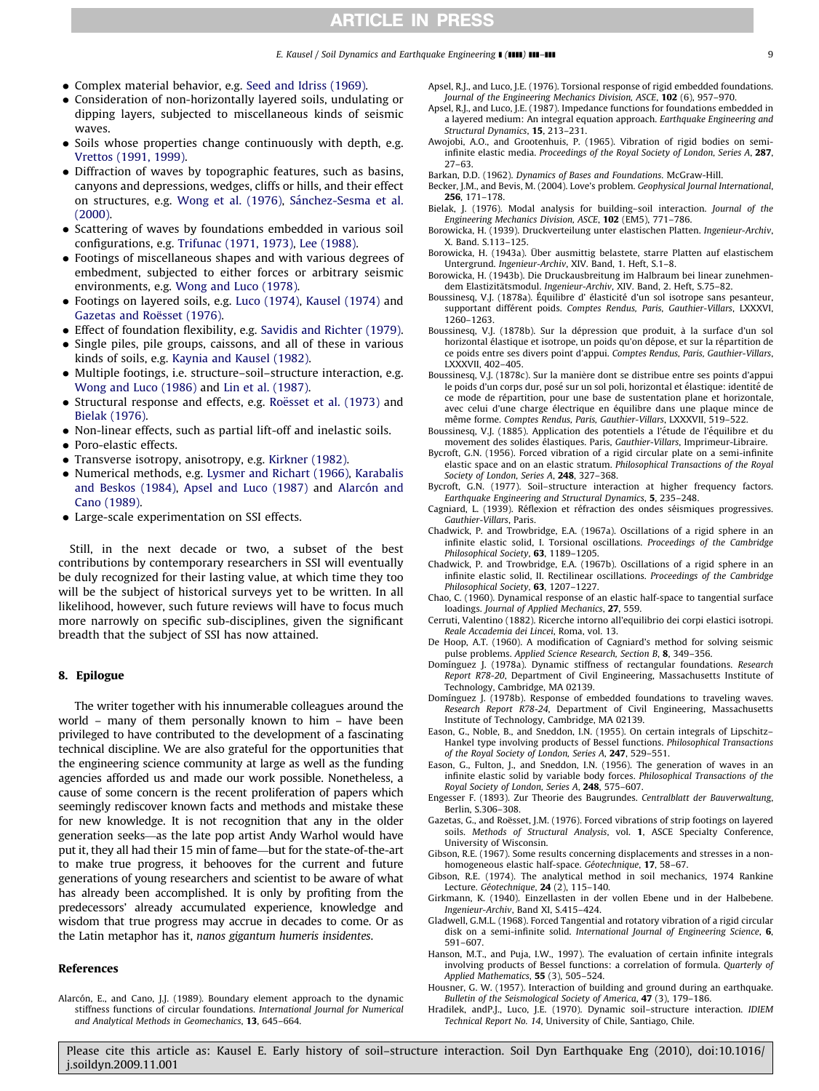## ARTICLE IN PRESS

#### E. Kausel / Soil Dynamics and Earthquake Engineering **[40011] [1111] 111-111** 9

- <span id="page-8-0"></span> $\bullet$  Complex material behavior, e.g. [Seed and Idriss \(1969\).](#page-9-0)
- $\bullet$  Consideration of non-horizontally layered soils, undulating or dipping layers, subjected to miscellaneous kinds of seismic waves.
- Soils whose properties change continuously with depth, e.g. [Vrettos \(1991, 1999\)](#page-10-0).
- Diffraction of waves by topographic features, such as basins, canyons and depressions, wedges, cliffs or hills, and their effect on structures, e.g. [Wong et al. \(1976\)](#page-10-0), Sánchez-Sesma et al. [\(2000\).](#page-9-0)
- Scattering of waves by foundations embedded in various soil configurations, e.g. [Trifunac \(1971, 1973\)](#page-9-0), [Lee \(1988\).](#page-9-0)
- Footings of miscellaneous shapes and with various degrees of embedment, subjected to either forces or arbitrary seismic environments, e.g. [Wong and Luco \(1978\)](#page-10-0).
- $\bullet$  Footings on layered soils, e.g. [Luco \(1974\),](#page-9-0) [Kausel \(1974\)](#page-9-0) and Gazetas and Roësset (1976).
- $\bullet$ Effect of foundation flexibility, e.g. [Savidis and Richter \(1979\).](#page-9-0)
- $\bullet$  Single piles, pile groups, caissons, and all of these in various kinds of soils, e.g. [Kaynia and Kausel \(1982\).](#page-9-0)
- Multiple footings, i.e. structure–soil–structure interaction, e.g. [Wong and Luco \(1986\)](#page-10-0) and [Lin et al. \(1987\)](#page-9-0).
- Structural response and effects, e.g. Roësset et al. (1973) and Bielak (1976).
- Non-linear effects, such as partial lift-off and inelastic soils.
- Poro-elastic effects.
- Transverse isotropy, anisotropy, e.g. [Kirkner \(1982\)](#page-9-0).
- Numerical methods, e.g. [Lysmer and Richart \(1966\),](#page-9-0) [Karabalis](#page-9-0) [and Beskos \(1984\)](#page-9-0), Apsel and Luco (1987) and Alarcón and Cano (1989).
- Large-scale experimentation on SSI effects.

Still, in the next decade or two, a subset of the best contributions by contemporary researchers in SSI will eventually be duly recognized for their lasting value, at which time they too will be the subject of historical surveys yet to be written. In all likelihood, however, such future reviews will have to focus much more narrowly on specific sub-disciplines, given the significant breadth that the subject of SSI has now attained.

#### 8. Epilogue

The writer together with his innumerable colleagues around the world – many of them personally known to him – have been privileged to have contributed to the development of a fascinating technical discipline. We are also grateful for the opportunities that the engineering science community at large as well as the funding agencies afforded us and made our work possible. Nonetheless, a cause of some concern is the recent proliferation of papers which seemingly rediscover known facts and methods and mistake these for new knowledge. It is not recognition that any in the older generation seeks—as the late pop artist Andy Warhol would have put it, they all had their 15 min of fame—but for the state-of-the-art to make true progress, it behooves for the current and future generations of young researchers and scientist to be aware of what has already been accomplished. It is only by profiting from the predecessors' already accumulated experience, knowledge and wisdom that true progress may accrue in decades to come. Or as the Latin metaphor has it, nanos gigantum humeris insidentes.

#### References

Alarcón, E., and Cano, J.J. (1989). Boundary element approach to the dynamic stiffness functions of circular foundations. International Journal for Numerical and Analytical Methods in Geomechanics, 13, 645–664.

- Apsel, R.J., and Luco, J.E. (1976). Torsional response of rigid embedded foundations. Journal of the Engineering Mechanics Division, ASCE, 102 (6), 957–970.
- Apsel, R.J., and Luco, J.E. (1987). Impedance functions for foundations embedded in a layered medium: An integral equation approach. Earthquake Engineering and Structural Dynamics, 15, 213–231.
- Awojobi, A.O., and Grootenhuis, P. (1965). Vibration of rigid bodies on semiinfinite elastic media. Proceedings of the Royal Society of London, Series A, 287, 27–63.
- Barkan, D.D. (1962). Dynamics of Bases and Foundations. McGraw-Hill.
- Becker, J.M., and Bevis, M. (2004). Love's problem. Geophysical Journal International, 256, 171–178.
- Bielak, J. (1976). Modal analysis for building–soil interaction. Journal of the Engineering Mechanics Division, ASCE, 102 (EM5), 771–786.
- Borowicka, H. (1939). Druckverteilung unter elastischen Platten. Ingenieur-Archiv, X. Band. S.113–125.
- Borowicka, H. (1943a). Über ausmittig belastete, starre Platten auf elastischem Untergrund. Ingenieur-Archiv, XIV. Band, 1. Heft, S.1–8.
- Borowicka, H. (1943b). Die Druckausbreitung im Halbraum bei linear zunehmendem Elastizitätsmodul. Ingenieur-Archiv, XIV. Band, 2. Heft, S.75-82.
- Boussinesq, V.J. (1878a). Équilibre d' élasticité d'un sol isotrope sans pesanteur, supportant différent poids. Comptes Rendus, Paris, Gauthier-Villars, LXXXVI, 1260–1263.
- Boussinesq, V.J. (1878b). Sur la dépression que produit, à la surface d'un sol horizontal élastique et isotrope, un poids qu'on dépose, et sur la répartition de ce poids entre ses divers point d'appui. Comptes Rendus, Paris, Gauthier-Villars, LXXXVII, 402–405.
- Boussinesq, V.J. (1878c). Sur la manière dont se distribue entre ses points d'appui le poids d'un corps dur, posé sur un sol poli, horizontal et élastique: identité de ce mode de répartition, pour une base de sustentation plane et horizontale, avec celui d'une charge électrique en équilibre dans une plaque mince de même forme. Comptes Rendus, Paris, Gauthier-Villars, LXXXVII, 519-522.
- Boussinesq, V.J. (1885). Application des potentiels a l'étude de l'équilibre et du movement des solides élastiques. Paris, Gauthier-Villars, Imprimeur-Libraire.
- Bycroft, G.N. (1956). Forced vibration of a rigid circular plate on a semi-infinite elastic space and on an elastic stratum. Philosophical Transactions of the Royal Society of London, Series A, 248, 327–368.
- Bycroft, G.N. (1977). Soil–structure interaction at higher frequency factors. Earthquake Engineering and Structural Dynamics, 5, 235–248.
- Cagniard, L. (1939). Réflexion et réfraction des ondes séismiques progressives. Gauthier-Villars, Paris.
- Chadwick, P. and Trowbridge, E.A. (1967a). Oscillations of a rigid sphere in an infinite elastic solid, I. Torsional oscillations. Proceedings of the Cambridge Philosophical Society, 63, 1189–1205.
- Chadwick, P. and Trowbridge, E.A. (1967b). Oscillations of a rigid sphere in an infinite elastic solid, II. Rectilinear oscillations. Proceedings of the Cambridge Philosophical Society, 63, 1207–1227.
- Chao, C. (1960). Dynamical response of an elastic half-space to tangential surface loadings. Journal of Applied Mechanics, 27, 559.
- Cerruti, Valentino (1882). Ricerche intorno all'equilibrio dei corpi elastici isotropi. Reale Accademia dei Lincei, Roma, vol. 13.
- De Hoop, A.T. (1960). A modification of Cagniard's method for solving seismic pulse problems. Applied Science Research, Section B, 8, 349–356.
- Domínguez J. (1978a). Dynamic stiffness of rectangular foundations. Research Report R78-20, Department of Civil Engineering, Massachusetts Institute of Technology, Cambridge, MA 02139.
- Domínguez J. (1978b). Response of embedded foundations to traveling waves. Research Report R78-24, Department of Civil Engineering, Massachusetts Institute of Technology, Cambridge, MA 02139.
- Eason, G., Noble, B., and Sneddon, I.N. (1955). On certain integrals of Lipschitz– Hankel type involving products of Bessel functions. Philosophical Transactions of the Royal Society of London, Series A, 247, 529–551.
- Eason, G., Fulton, J., and Sneddon, I.N. (1956). The generation of waves in an infinite elastic solid by variable body forces. Philosophical Transactions of the Royal Society of London, Series A, 248, 575–607.
- Engesser F. (1893). Zur Theorie des Baugrundes. Centralblatt der Bauverwaltung, Berlin, S.306–308.
- Gazetas, G., and Roësset, J.M. (1976). Forced vibrations of strip footings on layered soils. Methods of Structural Analysis, vol. 1, ASCE Specialty Conference, University of Wisconsin.
- Gibson, R.E. (1967). Some results concerning displacements and stresses in a nonhomogeneous elastic half-space. Géotechnique, 17, 58-67.
- Gibson, R.E. (1974). The analytical method in soil mechanics, 1974 Rankine Lecture. Géotechnique, 24 (2), 115-140.
- Girkmann, K. (1940). Einzellasten in der vollen Ebene und in der Halbebene. Ingenieur-Archiv, Band XI, S.415–424.
- Gladwell, G.M.L. (1968). Forced Tangential and rotatory vibration of a rigid circular disk on a semi-infinite solid. International Journal of Engineering Science, **6**, 591–607.
- Hanson, M.T., and Puja, I.W., 1997). The evaluation of certain infinite integrals involving products of Bessel functions: a correlation of formula. Quarterly of Applied Mathematics, 55 (3), 505-524.
- Housner, G. W. (1957). Interaction of building and ground during an earthquake. Bulletin of the Seismological Society of America, 47 (3), 179–186.
- Hradilek, andP.J., Luco, J.E. (1970). Dynamic soil–structure interaction. IDIEM Technical Report No. 14, University of Chile, Santiago, Chile.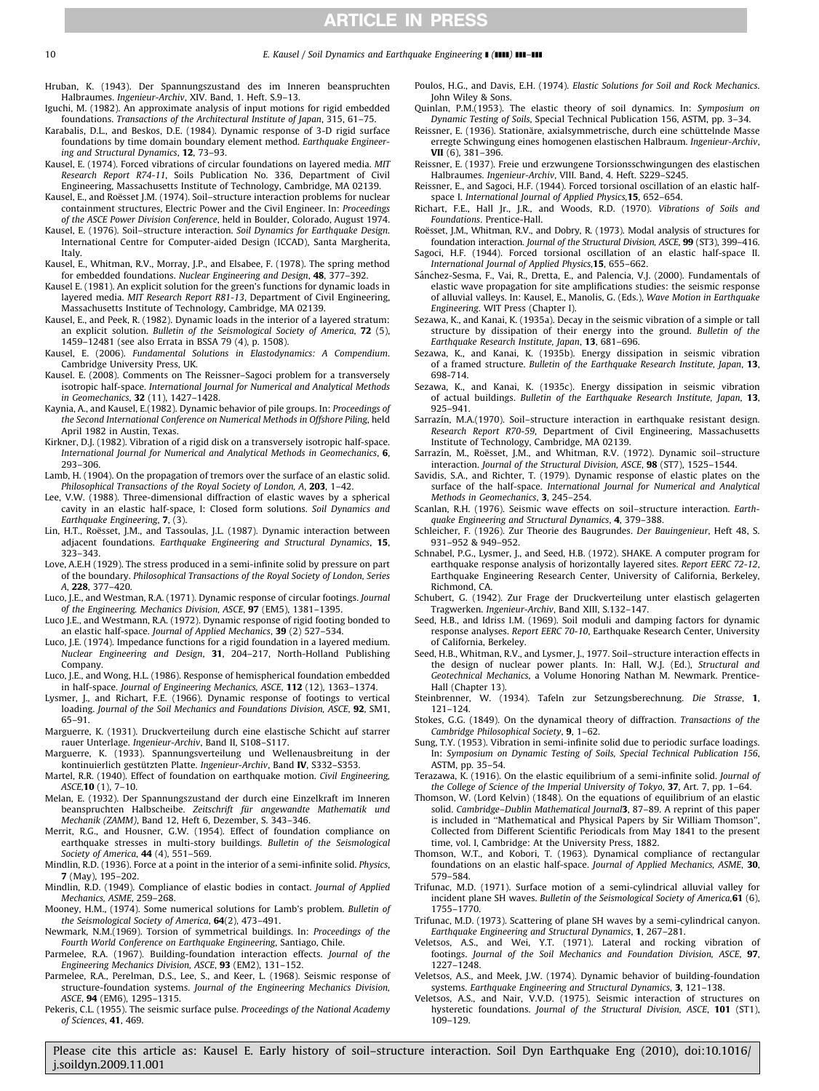ARTICLE IN PRESS

<span id="page-9-0"></span>Hruban, K. (1943). Der Spannungszustand des im Inneren beanspruchten Halbraumes. Ingenieur-Archiv, XIV. Band, 1. Heft. S.9–13.

- Iguchi, M. (1982). An approximate analysis of input motions for rigid embedded foundations. Transactions of the Architectural Institute of Japan, 315, 61–75.
- Karabalis, D.L., and Beskos, D.E. (1984). Dynamic response of 3-D rigid surface foundations by time domain boundary element method. Earthquake Engineering and Structural Dynamics, 12, 73–93.
- Kausel, E. (1974). Forced vibrations of circular foundations on layered media. MIT Research Report R74-11, Soils Publication No. 336, Department of Civil Engineering, Massachusetts Institute of Technology, Cambridge, MA 02139.
- Kausel, E., and Roësset J.M. (1974). Soil–structure interaction problems for nuclear containment structures, Electric Power and the Civil Engineer. In: Proceedings of the ASCE Power Division Conference, held in Boulder, Colorado, August 1974.
- Kausel, E. (1976). Soil–structure interaction. Soil Dynamics for Earthquake Design. International Centre for Computer-aided Design (ICCAD), Santa Margherita, Italy.
- Kausel, E., Whitman, R.V., Morray, J.P., and Elsabee, F. (1978). The spring method for embedded foundations. Nuclear Engineering and Design, 48, 377–392.
- Kausel E. (1981). An explicit solution for the green's functions for dynamic loads in layered media. MIT Research Report R81-13, Department of Civil Engineering, Massachusetts Institute of Technology, Cambridge, MA 02139.
- Kausel, E., and Peek, R. (1982). Dynamic loads in the interior of a layered stratum: an explicit solution. Bulletin of the Seismological Society of America, 72 (5), 1459–12481 (see also Errata in BSSA 79 (4), p. 1508).
- Kausel, E. (2006). Fundamental Solutions in Elastodynamics: A Compendium. Cambridge University Press, UK.
- Kausel. E. (2008). Comments on The Reissner–Sagoci problem for a transversely isotropic half-space. International Journal for Numerical and Analytical Methods in Geomechanics, 32 (11), 1427–1428.
- Kaynia, A., and Kausel, E.(1982). Dynamic behavior of pile groups. In: Proceedings of the Second International Conference on Numerical Methods in Offshore Piling, held April 1982 in Austin, Texas.
- Kirkner, D.J. (1982). Vibration of a rigid disk on a transversely isotropic half-space. International Journal for Numerical and Analytical Methods in Geomechanics, 6, 293–306.
- Lamb, H. (1904). On the propagation of tremors over the surface of an elastic solid. Philosophical Transactions of the Royal Society of London, A, 203, 1–42.
- Lee, V.W. (1988). Three-dimensional diffraction of elastic waves by a spherical cavity in an elastic half-space, I: Closed form solutions. Soil Dynamics and Earthquake Engineering, 7, (3).
- Lin, H.T., Roësset, J.M., and Tassoulas, J.L. (1987). Dynamic interaction between adjacent foundations. Earthquake Engineering and Structural Dynamics, 15, 323–343.
- Love, A.E.H (1929). The stress produced in a semi-infinite solid by pressure on part of the boundary. Philosophical Transactions of the Royal Society of London, Series A, 228, 377–420.
- Luco, J.E., and Westman, R.A. (1971). Dynamic response of circular footings. Journal of the Engineering. Mechanics Division, ASCE, 97 (EM5), 1381–1395.
- Luco J.E., and Westmann, R.A. (1972). Dynamic response of rigid footing bonded to an elastic half-space. Journal of Applied Mechanics, 39 (2) 527–534.
- Luco, J.E. (1974). Impedance functions for a rigid foundation in a layered medium. Nuclear Engineering and Design, 31, 204–217, North-Holland Publishing Company.
- Luco, J.E., and Wong, H.L. (1986). Response of hemispherical foundation embedded in half-space. Journal of Engineering Mechanics, ASCE, 112 (12), 1363–1374.
- Lysmer, J., and Richart, F.E. (1966). Dynamic response of footings to vertical loading. Journal of the Soil Mechanics and Foundations Division, ASCE, 92, SM1, 65–91.
- Marguerre, K. (1931). Druckverteilung durch eine elastische Schicht auf starrer rauer Unterlage. Ingenieur-Archiv, Band II, S108–S117.
- Marguerre, K. (1933). Spannungsverteilung und Wellenausbreitung in der kontinuierlich gestützten Platte. Ingenieur-Archiv, Band IV, S332-S353.
- Martel, R.R. (1940). Effect of foundation on earthquake motion. Civil Engineering, ASCE,10 (1), 7–10.
- Melan, E. (1932). Der Spannungszustand der durch eine Einzelkraft im Inneren beanspruchten Halbscheibe. Zeitschrift für angewandte Mathematik und Mechanik (ZAMM), Band 12, Heft 6, Dezember, S. 343–346.
- Merrit, R.G., and Housner, G.W. (1954). Effect of foundation compliance on earthquake stresses in multi-story buildings. Bulletin of the Seismological Society of America, **44** (4), 551-569.
- Mindlin, R.D. (1936). Force at a point in the interior of a semi-infinite solid. Physics, 7 (May), 195–202.
- Mindlin, R.D. (1949). Compliance of elastic bodies in contact. Journal of Applied Mechanics, ASME, 259–268.
- Mooney, H.M., (1974). Some numerical solutions for Lamb's problem. Bulletin of the Seismological Society of America, 64(2), 473–491.
- Newmark, N.M.(1969). Torsion of symmetrical buildings. In: Proceedings of the Fourth World Conference on Earthquake Engineering, Santiago, Chile.
- Parmelee, R.A. (1967). Building-foundation interaction effects. Journal of the Engineering Mechanics Division, ASCE, 93 (EM2), 131–152.
- Parmelee, R.A., Perelman, D.S., Lee, S., and Keer, L. (1968). Seismic response of structure-foundation systems. Journal of the Engineering Mechanics Division, ASCE, 94 (EM6), 1295–1315.
- Pekeris, C.L. (1955). The seismic surface pulse. Proceedings of the National Academy of Sciences, 41, 469.
- Poulos, H.G., and Davis, E.H. (1974). Elastic Solutions for Soil and Rock Mechanics. John Wiley & Sons.
- Quinlan, P.M.(1953). The elastic theory of soil dynamics. In: Symposium on Dynamic Testing of Soils, Special Technical Publication 156, ASTM, pp. 3–34.
- Reissner, E. (1936). Stationäre, axialsymmetrische, durch eine schüttelnde Masse erregte Schwingung eines homogenen elastischen Halbraum. Ingenieur-Archiv, VII (6), 381–396.
- Reissner, E. (1937). Freie und erzwungene Torsionsschwingungen des elastischen Halbraumes. Ingenieur-Archiv, VIII. Band, 4. Heft. S229–S245.
- Reissner, E., and Sagoci, H.F. (1944). Forced torsional oscillation of an elastic halfspace I. International Journal of Applied Physics,15, 652–654.
- Richart, F.E., Hall Jr., J.R., and Woods, R.D. (1970). Vibrations of Soils and Foundations. Prentice-Hall.
- Roësset, J.M., Whitman, R.V., and Dobry, R. (1973). Modal analysis of structures for foundation interaction. Journal of the Structural Division, ASCE, 99 (ST3), 399–416.
- Sagoci, H.F. (1944). Forced torsional oscillation of an elastic half-space II. International Journal of Applied Physics,15, 655–662.
- Sánchez-Sesma, F., Vai, R., Dretta, E., and Palencia, V.J. (2000). Fundamentals of elastic wave propagation for site amplifications studies: the seismic response of alluvial valleys. In: Kausel, E., Manolis, G. (Eds.), Wave Motion in Earthquake Engineering. WIT Press (Chapter I).
- Sezawa, K., and Kanai, K. (1935a). Decay in the seismic vibration of a simple or tall structure by dissipation of their energy into the ground. Bulletin of the Earthquake Research Institute, Japan, 13, 681–696.
- Sezawa, K., and Kanai, K. (1935b). Energy dissipation in seismic vibration of a framed structure. Bulletin of the Earthquake Research Institute, Japan, 13, 698-714.
- Sezawa, K., and Kanai, K. (1935c). Energy dissipation in seismic vibration of actual buildings. Bulletin of the Earthquake Research Institute, Japan, 13, 925–941.
- Sarrazín, M.A.(1970). Soil-structure interaction in earthquake resistant design. Research Report R70-59, Department of Civil Engineering, Massachusetts Institute of Technology, Cambridge, MA 02139.
- Sarrazín, M., Roësset, J.M., and Whitman, R.V. (1972). Dynamic soil-structure interaction. Journal of the Structural Division, ASCE, 98 (ST7), 1525–1544.
- Savidis, S.A., and Richter, T. (1979). Dynamic response of elastic plates on the surface of the half-space. International Journal for Numerical and Analytical Methods in Geomechanics, 3, 245–254.
- Scanlan, R.H. (1976). Seismic wave effects on soil–structure interaction. Earthquake Engineering and Structural Dynamics, 4, 379–388.
- Schleicher, F. (1926). Zur Theorie des Baugrundes. Der Bauingenieur, Heft 48, S. 931–952 & 949–952.
- Schnabel, P.G., Lysmer, J., and Seed, H.B. (1972). SHAKE. A computer program for earthquake response analysis of horizontally layered sites. Report EERC 72-12, Earthquake Engineering Research Center, University of California, Berkeley, Richmond, CA.
- Schubert, G. (1942). Zur Frage der Druckverteilung unter elastisch gelagerten Tragwerken. Ingenieur-Archiv, Band XIII, S.132–147.
- Seed, H.B., and Idriss I.M. (1969). Soil moduli and damping factors for dynamic response analyses. Report EERC 70-10, Earthquake Research Center, University of California, Berkeley.
- Seed, H.B., Whitman, R.V., and Lysmer, J., 1977. Soil–structure interaction effects in the design of nuclear power plants. In: Hall, W.J. (Ed.), Structural and Geotechnical Mechanics, a Volume Honoring Nathan M. Newmark. Prentice-Hall (Chapter 13).
- Steinbrenner, W. (1934). Tafeln zur Setzungsberechnung. Die Strasse, 1, 121–124.
- Stokes, G.G. (1849). On the dynamical theory of diffraction. Transactions of the Cambridge Philosophical Society, 9, 1–62.
- Sung, T.Y. (1953). Vibration in semi-infinite solid due to periodic surface loadings. In: Symposium on Dynamic Testing of Soils, Special Technical Publication 156, ASTM, pp. 35–54.
- Terazawa, K. (1916). On the elastic equilibrium of a semi-infinite solid. Journal of the College of Science of the Imperial University of Tokyo, 37, Art. 7, pp. 1–64.
- Thomson, W. (Lord Kelvin) (1848). On the equations of equilibrium of an elastic solid. Cambridge–Dublin Mathematical Journal3, 87–89. A reprint of this paper is included in ''Mathematical and Physical Papers by Sir William Thomson'', Collected from Different Scientific Periodicals from May 1841 to the present time, vol. I, Cambridge: At the University Press, 1882.
- Thomson, W.T., and Kobori, T. (1963). Dynamical compliance of rectangular foundations on an elastic half-space. Journal of Applied Mechanics, ASME, 30, 579–584.
- Trifunac, M.D. (1971). Surface motion of a semi-cylindrical alluvial valley for incident plane SH waves. Bulletin of the Seismological Society of America, 61 (6), 1755–1770.
- Trifunac, M.D. (1973). Scattering of plane SH waves by a semi-cylindrical canyon. Earthquake Engineering and Structural Dynamics, 1, 267–281.
- Veletsos, A.S., and Wei, Y.T. (1971). Lateral and rocking vibration of footings. Journal of the Soil Mechanics and Foundation Division, ASCE, 97, 1227–1248.
- Veletsos, A.S., and Meek, J.W. (1974). Dynamic behavior of building-foundation systems. Earthquake Engineering and Structural Dynamics, 3, 121–138.
- Veletsos, A.S., and Nair, V.V.D. (1975). Seismic interaction of structures on hysteretic foundations. Journal of the Structural Division, ASCE, 101 (ST1), 109–129.